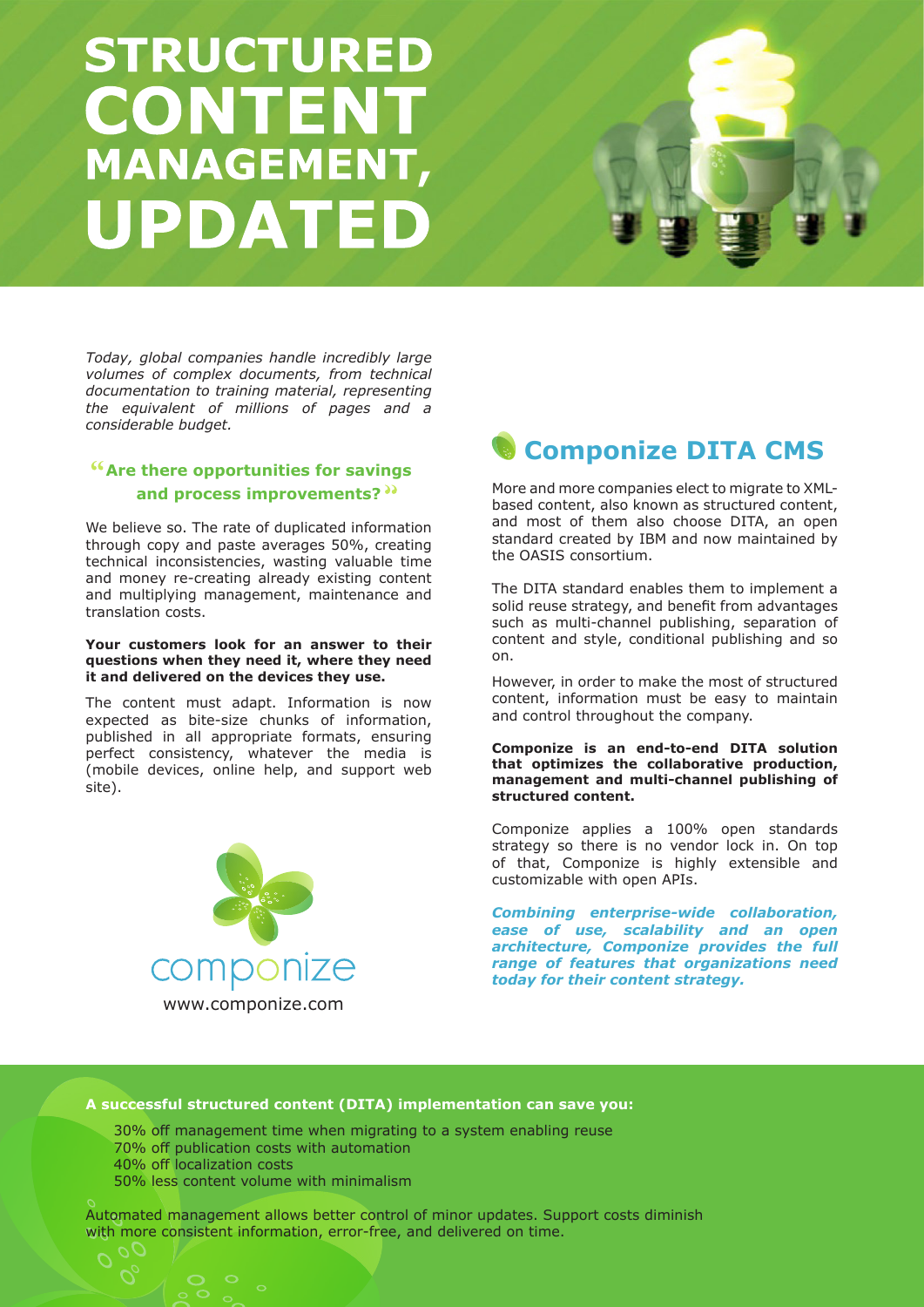# **STRUCTURED CONTENT MANAGEMENT, UPDATED**



# **Are there opportunities for savings and process improvements?**

We believe so. The rate of duplicated information through copy and paste averages 50%, creating technical inconsistencies, wasting valuable time and money re-creating already existing content and multiplying management, maintenance and translation costs.

#### **Your customers look for an answer to their questions when they need it, where they need it and delivered on the devices they use.**

The content must adapt. Information is now expected as bite-size chunks of information, published in all appropriate formats, ensuring perfect consistency, whatever the media is (mobile devices, online help, and support web site).



# **Componize DITA CMS**

More and more companies elect to migrate to XMLbased content, also known as structured content, and most of them also choose DITA, an open standard created by IBM and now maintained by the OASIS consortium.

The DITA standard enables them to implement a solid reuse strategy, and benefit from advantages such as multi-channel publishing, separation of content and style, conditional publishing and so on.

However, in order to make the most of structured content, information must be easy to maintain and control throughout the company.

#### **Componize is an end-to-end DITA solution that optimizes the collaborative production, management and multi-channel publishing of structured content.**

Componize applies a 100% open standards strategy so there is no vendor lock in. On top of that, Componize is highly extensible and customizable with open APIs.

*Combining enterprise-wide collaboration, ease of use, scalability and an open architecture, Componize provides the full range of features that organizations need today for their content strategy.*

## **A successful structured content (DITA) implementation can save you:**

30% off management time when migrating to a system enabling reuse 70% off publication costs with automation 40% off localization costs 50% less content volume with minimalism

Automated management allows better control of minor updates. Support costs diminish with more consistent information, error-free, and delivered on time.